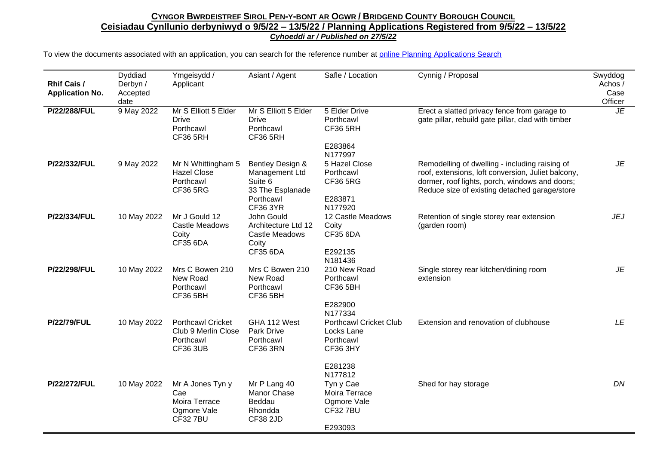| <b>Rhif Cais /</b><br><b>Application No.</b> | Dyddiad<br>Derbyn /<br>Accepted<br>date | Ymgeisydd /<br>Applicant                                                  | Asiant / Agent                                                                                    | Safle / Location                                                                              | Cynnig / Proposal                                                                                                                                                                                       | Swyddog<br>Achos /<br>Case<br>Officer |
|----------------------------------------------|-----------------------------------------|---------------------------------------------------------------------------|---------------------------------------------------------------------------------------------------|-----------------------------------------------------------------------------------------------|---------------------------------------------------------------------------------------------------------------------------------------------------------------------------------------------------------|---------------------------------------|
| P/22/288/FUL                                 | 9 May 2022                              | Mr S Elliott 5 Elder<br><b>Drive</b><br>Porthcawl<br><b>CF36 5RH</b>      | Mr S Elliott 5 Elder<br><b>Drive</b><br>Porthcawl<br><b>CF36 5RH</b>                              | 5 Elder Drive<br>Porthcawl<br><b>CF36 5RH</b><br>E283864                                      | Erect a slatted privacy fence from garage to<br>gate pillar, rebuild gate pillar, clad with timber                                                                                                      | JE                                    |
|                                              |                                         |                                                                           |                                                                                                   | N177997                                                                                       |                                                                                                                                                                                                         |                                       |
| P/22/332/FUL                                 | 9 May 2022                              | Mr N Whittingham 5<br><b>Hazel Close</b><br>Porthcawl<br><b>CF36 5RG</b>  | Bentley Design &<br>Management Ltd<br>Suite 6<br>33 The Esplanade<br>Porthcawl<br><b>CF36 3YR</b> | 5 Hazel Close<br>Porthcawl<br><b>CF36 5RG</b><br>E283871<br>N177920                           | Remodelling of dwelling - including raising of<br>roof, extensions, loft conversion, Juliet balcony,<br>dormer, roof lights, porch, windows and doors;<br>Reduce size of existing detached garage/store | JE                                    |
| P/22/334/FUL                                 | 10 May 2022                             | Mr J Gould 12<br>Castle Meadows<br>Coity<br><b>CF35 6DA</b>               | John Gould<br>Architecture Ltd 12<br>Castle Meadows<br>Coity<br><b>CF35 6DA</b>                   | 12 Castle Meadows<br>Coity<br><b>CF35 6DA</b><br>E292135<br>N181436                           | Retention of single storey rear extension<br>(garden room)                                                                                                                                              | <b>JEJ</b>                            |
| P/22/298/FUL                                 | 10 May 2022                             | Mrs C Bowen 210<br>New Road<br>Porthcawl<br><b>CF36 5BH</b>               | Mrs C Bowen 210<br>New Road<br>Porthcawl<br><b>CF36 5BH</b>                                       | 210 New Road<br>Porthcawl<br><b>CF36 5BH</b><br>E282900                                       | Single storey rear kitchen/dining room<br>extension                                                                                                                                                     | JE                                    |
| <b>P/22/79/FUL</b>                           | 10 May 2022                             | <b>Porthcawl Cricket</b><br>Club 9 Merlin Close<br>Porthcawl<br>CF36 3UB  | GHA 112 West<br>Park Drive<br>Porthcawl<br><b>CF36 3RN</b>                                        | N177334<br><b>Porthcawl Cricket Club</b><br>Locks Lane<br>Porthcawl<br><b>CF36 3HY</b>        | Extension and renovation of clubhouse                                                                                                                                                                   | LE                                    |
| P/22/272/FUL                                 | 10 May 2022                             | Mr A Jones Tyn y<br>Cae<br>Moira Terrace<br>Ogmore Vale<br><b>CF327BU</b> | Mr P Lang 40<br>Manor Chase<br>Beddau<br>Rhondda<br><b>CF38 2JD</b>                               | E281238<br>N177812<br>Tyn y Cae<br>Moira Terrace<br>Ogmore Vale<br><b>CF32 7BU</b><br>E293093 | Shed for hay storage                                                                                                                                                                                    | DN                                    |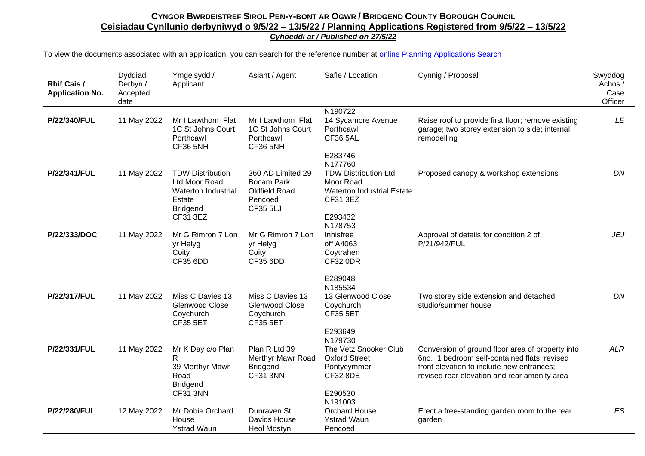| <b>Rhif Cais /</b><br><b>Application No.</b> | Dyddiad<br>Derbyn /<br>Accepted<br>date | Ymgeisydd /<br>Applicant                                                                                        | Asiant / Agent                                                                 | Safle / Location                                                                                                | Cynnig / Proposal                                                                                                                                                                             | Swyddog<br>Achos/<br>Case<br>Officer |
|----------------------------------------------|-----------------------------------------|-----------------------------------------------------------------------------------------------------------------|--------------------------------------------------------------------------------|-----------------------------------------------------------------------------------------------------------------|-----------------------------------------------------------------------------------------------------------------------------------------------------------------------------------------------|--------------------------------------|
| P/22/340/FUL                                 | 11 May 2022                             | Mr I Lawthom Flat<br>1C St Johns Court<br>Porthcawl<br>CF36 5NH                                                 | Mr I Lawthom Flat<br>1C St Johns Court<br>Porthcawl<br>CF36 5NH                | N190722<br>14 Sycamore Avenue<br>Porthcawl<br><b>CF36 5AL</b><br>E283746                                        | Raise roof to provide first floor; remove existing<br>garage; two storey extension to side; internal<br>remodelling                                                                           | LE                                   |
| P/22/341/FUL                                 | 11 May 2022                             | <b>TDW Distribution</b><br>Ltd Moor Road<br><b>Waterton Industrial</b><br>Estate<br><b>Bridgend</b><br>CF31 3EZ | 360 AD Limited 29<br>Bocam Park<br>Oldfield Road<br>Pencoed<br><b>CF35 5LJ</b> | N177760<br><b>TDW Distribution Ltd</b><br>Moor Road<br><b>Waterton Industrial Estate</b><br>CF31 3EZ<br>E293432 | Proposed canopy & workshop extensions                                                                                                                                                         | DN                                   |
| P/22/333/DOC                                 | 11 May 2022                             | Mr G Rimron 7 Lon<br>yr Helyg<br>Coity<br><b>CF35 6DD</b>                                                       | Mr G Rimron 7 Lon<br>yr Helyg<br>Coity<br><b>CF35 6DD</b>                      | N178753<br>Innisfree<br>off A4063<br>Coytrahen<br><b>CF32 0DR</b>                                               | Approval of details for condition 2 of<br>P/21/942/FUL                                                                                                                                        | <b>JEJ</b>                           |
| P/22/317/FUL                                 | 11 May 2022                             | Miss C Davies 13<br>Glenwood Close<br>Coychurch<br><b>CF35 5ET</b>                                              | Miss C Davies 13<br>Glenwood Close<br>Coychurch<br><b>CF35 5ET</b>             | E289048<br>N185534<br>13 Glenwood Close<br>Coychurch<br><b>CF35 5ET</b><br>E293649<br>N179730                   | Two storey side extension and detached<br>studio/summer house                                                                                                                                 | DN                                   |
| P/22/331/FUL                                 | 11 May 2022                             | Mr K Day c/o Plan<br>R<br>39 Merthyr Mawr<br>Road<br><b>Bridgend</b><br><b>CF31 3NN</b>                         | Plan R Ltd 39<br>Merthyr Mawr Road<br><b>Bridgend</b><br>CF31 3NN              | The Vetz Snooker Club<br><b>Oxford Street</b><br>Pontycymmer<br><b>CF32 8DE</b><br>E290530                      | Conversion of ground floor area of property into<br>6no. 1 bedroom self-contained flats; revised<br>front elevation to include new entrances;<br>revised rear elevation and rear amenity area | <b>ALR</b>                           |
| P/22/280/FUL                                 | 12 May 2022                             | Mr Dobie Orchard<br>House<br><b>Ystrad Waun</b>                                                                 | Dunraven St<br>Davids House<br><b>Heol Mostyn</b>                              | N191003<br>Orchard House<br><b>Ystrad Waun</b><br>Pencoed                                                       | Erect a free-standing garden room to the rear<br>garden                                                                                                                                       | ES                                   |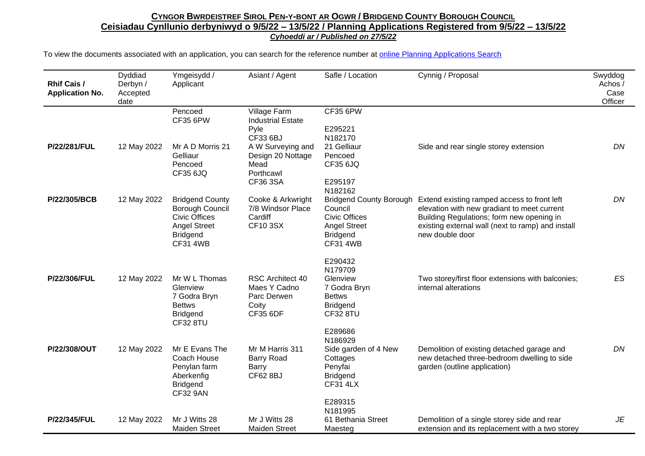| <b>Rhif Cais /</b><br><b>Application No.</b> | Dyddiad<br>Derbyn /<br>Accepted<br>date | Ymgeisydd /<br>Applicant                                                                                                       | Asiant / Agent                                                                     | Safle / Location                                                                                        | Cynnig / Proposal                                                                                                                                                                                                                       | Swyddog<br>Achos /<br>Case<br>Officer |
|----------------------------------------------|-----------------------------------------|--------------------------------------------------------------------------------------------------------------------------------|------------------------------------------------------------------------------------|---------------------------------------------------------------------------------------------------------|-----------------------------------------------------------------------------------------------------------------------------------------------------------------------------------------------------------------------------------------|---------------------------------------|
|                                              |                                         | Pencoed<br><b>CF35 6PW</b>                                                                                                     | Village Farm<br><b>Industrial Estate</b>                                           | <b>CF35 6PW</b>                                                                                         |                                                                                                                                                                                                                                         |                                       |
|                                              |                                         |                                                                                                                                | Pyle<br>CF33 6BJ                                                                   | E295221<br>N182170                                                                                      |                                                                                                                                                                                                                                         |                                       |
| P/22/281/FUL                                 | 12 May 2022                             | Mr A D Morris 21<br>Gelliaur<br>Pencoed                                                                                        | A W Surveying and<br>Design 20 Nottage<br>Mead                                     | 21 Gelliaur<br>Pencoed<br><b>CF35 6JQ</b>                                                               | Side and rear single storey extension                                                                                                                                                                                                   | DN                                    |
|                                              |                                         | <b>CF35 6JQ</b>                                                                                                                | Porthcawl<br>CF36 3SA                                                              | E295197                                                                                                 |                                                                                                                                                                                                                                         |                                       |
| P/22/305/BCB                                 | 12 May 2022                             | <b>Bridgend County</b><br>Borough Council<br><b>Civic Offices</b><br><b>Angel Street</b><br><b>Bridgend</b><br><b>CF31 4WB</b> | Cooke & Arkwright<br>7/8 Windsor Place<br>Cardiff<br><b>CF10 3SX</b>               | N182162<br>Council<br><b>Civic Offices</b><br><b>Angel Street</b><br><b>Bridgend</b><br><b>CF31 4WB</b> | Bridgend County Borough Extend existing ramped access to front left<br>elevation with new gradiant to meet current<br>Building Regulations; form new opening in<br>existing external wall (next to ramp) and install<br>new double door | DN                                    |
|                                              |                                         |                                                                                                                                |                                                                                    | E290432                                                                                                 |                                                                                                                                                                                                                                         |                                       |
| P/22/306/FUL                                 | 12 May 2022                             | Mr W L Thomas<br>Glenview<br>7 Godra Bryn<br><b>Bettws</b><br><b>Bridgend</b><br><b>CF32 8TU</b>                               | <b>RSC Architect 40</b><br>Maes Y Cadno<br>Parc Derwen<br>Coity<br><b>CF35 6DF</b> | N179709<br>Glenview<br>7 Godra Bryn<br><b>Bettws</b><br><b>Bridgend</b><br><b>CF32 8TU</b>              | Two storey/first floor extensions with balconies;<br>internal alterations                                                                                                                                                               | ES                                    |
|                                              |                                         |                                                                                                                                |                                                                                    | E289686                                                                                                 |                                                                                                                                                                                                                                         |                                       |
| P/22/308/OUT                                 | 12 May 2022                             | Mr E Evans The<br>Coach House<br>Penylan farm<br>Aberkenfig<br><b>Bridgend</b><br><b>CF32 9AN</b>                              | Mr M Harris 311<br><b>Barry Road</b><br><b>Barry</b><br><b>CF62 8BJ</b>            | N186929<br>Side garden of 4 New<br>Cottages<br>Penyfai<br><b>Bridgend</b><br><b>CF31 4LX</b>            | Demolition of existing detached garage and<br>new detached three-bedroom dwelling to side<br>garden (outline application)                                                                                                               | DN                                    |
|                                              |                                         |                                                                                                                                |                                                                                    | E289315                                                                                                 |                                                                                                                                                                                                                                         |                                       |
| P/22/345/FUL                                 | 12 May 2022                             | Mr J Witts 28<br><b>Maiden Street</b>                                                                                          | Mr J Witts 28<br><b>Maiden Street</b>                                              | N181995<br>61 Bethania Street<br>Maesteg                                                                | Demolition of a single storey side and rear<br>extension and its replacement with a two storey                                                                                                                                          | JE                                    |